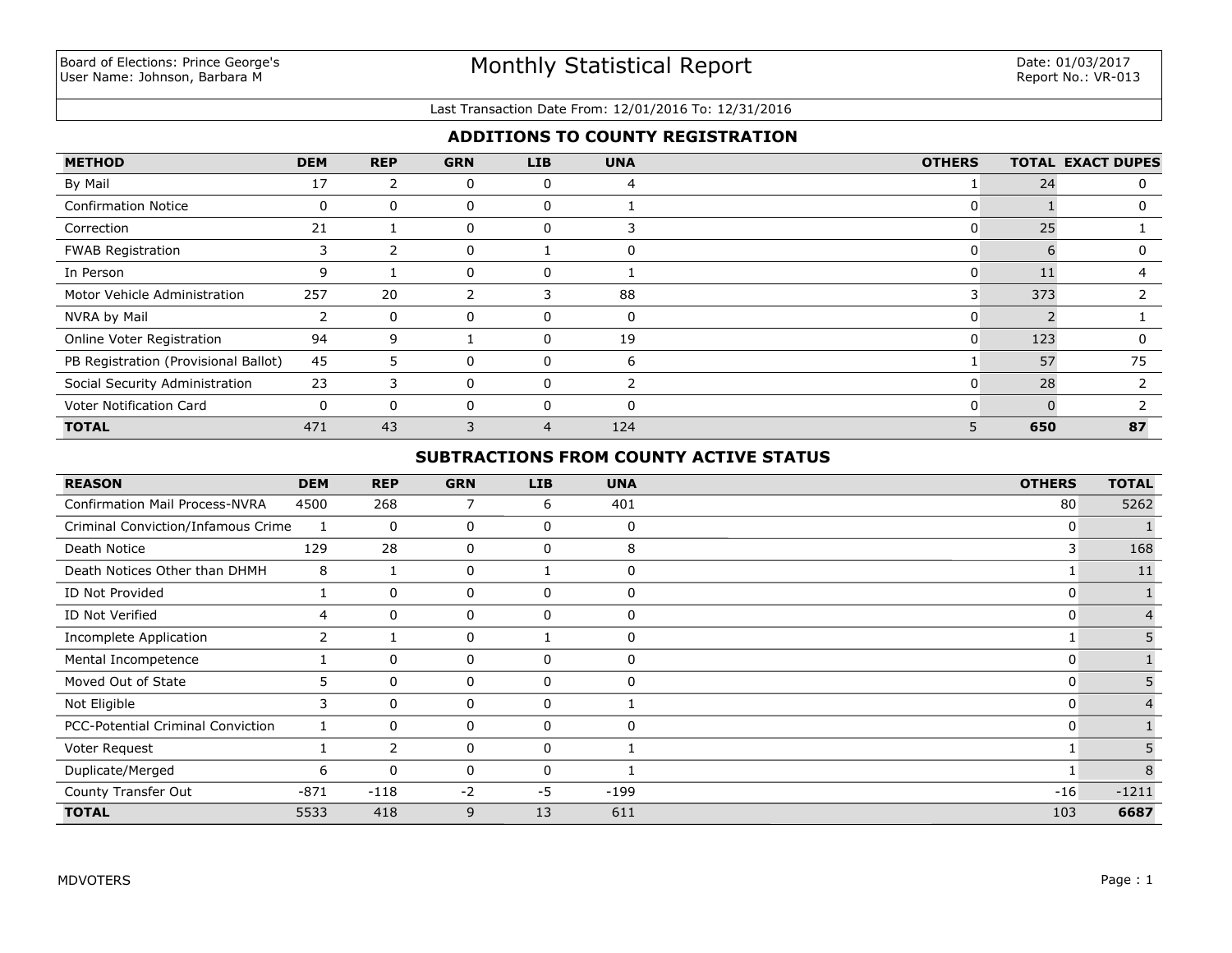#### Last Transaction Date From: 12/01/2016 To: 12/31/2016

## **ADDITIONS TO COUNTY REGISTRATION**

| <b>METHOD</b>                        | <b>DEM</b>     | <b>REP</b> | <b>GRN</b> | <b>LIB</b> | <b>UNA</b> | <b>OTHERS</b> |     | <b>TOTAL EXACT DUPES</b> |
|--------------------------------------|----------------|------------|------------|------------|------------|---------------|-----|--------------------------|
| By Mail                              | 17             |            | 0          | 0          | 4          |               | 24  |                          |
| <b>Confirmation Notice</b>           | 0              | 0          | 0          | $\Omega$   |            | υ             |     |                          |
| Correction                           | 21             |            | 0          | 0          |            | 0             | 25  |                          |
| <b>FWAB Registration</b>             | 3              |            | 0          |            |            | U             | h   |                          |
| In Person                            | 9              |            | 0          | 0          |            | υ             |     |                          |
| Motor Vehicle Administration         | 257            | 20         |            |            | 88         | 3             | 373 |                          |
| NVRA by Mail                         | $\overline{2}$ | 0          | 0          | $\Omega$   | 0          | 0             |     |                          |
| Online Voter Registration            | 94             | 9          |            | $\Omega$   | 19         | 0             | 123 |                          |
| PB Registration (Provisional Ballot) | 45             | 5.         | 0          | 0          | 6          |               | 57  | 75                       |
| Social Security Administration       | 23             | 3          | 0          | 0          |            | 0             | 28  |                          |
| Voter Notification Card              | $\mathbf{0}$   | $\Omega$   | 0          | $\Omega$   | $\Omega$   | O             | n   |                          |
| <b>TOTAL</b>                         | 471            | 43         | 3          | 4          | 124        | 5             | 650 | 87                       |

### **SUBTRACTIONS FROM COUNTY ACTIVE STATUS**

| <b>REASON</b>                         | <b>DEM</b> | <b>REP</b>   | <b>GRN</b>   | <b>LIB</b> | <b>UNA</b>   | <b>OTHERS</b> | <b>TOTAL</b> |
|---------------------------------------|------------|--------------|--------------|------------|--------------|---------------|--------------|
| <b>Confirmation Mail Process-NVRA</b> | 4500       | 268          | 7            | 6          | 401          | 80            | 5262         |
| Criminal Conviction/Infamous Crime    | 1          | $\Omega$     | 0            | 0          | $\Omega$     | 0             |              |
| Death Notice                          | 129        | 28           | 0            | 0          | 8            | 3             | 168          |
| Death Notices Other than DHMH         | 8          |              | 0            |            | 0            |               | 11           |
| ID Not Provided                       |            | 0            | 0            | 0          | $\mathbf{0}$ | 0             |              |
| ID Not Verified                       | 4          | $\mathbf{0}$ | 0            | 0          | $\Omega$     | 0             |              |
| Incomplete Application                | 2          |              | 0            |            | $\Omega$     |               |              |
| Mental Incompetence                   |            | 0            | 0            | 0          | $\Omega$     | 0             |              |
| Moved Out of State                    | 5          | $\mathbf{0}$ | 0            | 0          | 0            | 0             |              |
| Not Eligible                          | 3          | $\mathbf{0}$ | 0            | 0          |              | 0             |              |
| PCC-Potential Criminal Conviction     |            | $\mathbf{0}$ | $\mathbf{0}$ | $\Omega$   | $\Omega$     | 0             |              |
| Voter Request                         |            | 2            | 0            | 0          |              |               |              |
| Duplicate/Merged                      | 6          | $\mathbf{0}$ | 0            | $\Omega$   |              |               | 8            |
| County Transfer Out                   | $-871$     | $-118$       | $-2$         | $-5$       | $-199$       | $-16$         | $-1211$      |
| <b>TOTAL</b>                          | 5533       | 418          | 9            | 13         | 611          | 103           | 6687         |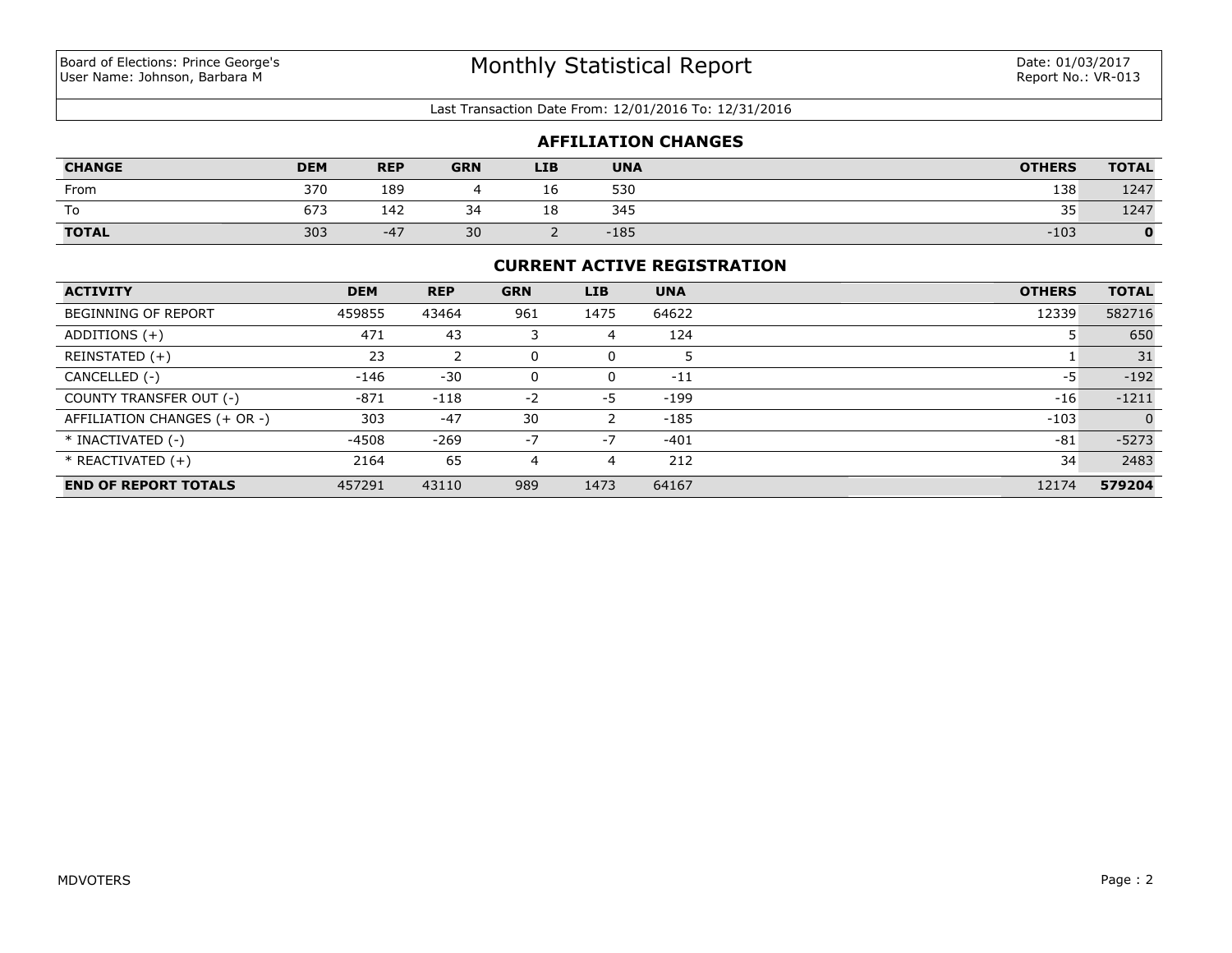#### Last Transaction Date From: 12/01/2016 To: 12/31/2016

| <b>AFFILIATION CHANGES</b> |            |            |            |            |            |               |              |  |  |
|----------------------------|------------|------------|------------|------------|------------|---------------|--------------|--|--|
| <b>CHANGE</b>              | <b>DEM</b> | <b>REP</b> | <b>GRN</b> | <b>LIB</b> | <b>UNA</b> | <b>OTHERS</b> | <b>TOTAL</b> |  |  |
| From                       | 370        | 189        |            | 16         | 530        | 138           | 1247         |  |  |
| То                         | 673        | 142        | 34         | 18         | 345        | 35            | 1247         |  |  |
| TOTAL                      | 303        | $-47$      | 30         |            | $-185$     | $-103$        |              |  |  |

#### **CURRENT ACTIVE REGISTRATION**

| <b>ACTIVITY</b>              | <b>DEM</b> | <b>REP</b> | <b>GRN</b> | <b>LIB</b> | <b>UNA</b> | <b>OTHERS</b> | <b>TOTAL</b> |
|------------------------------|------------|------------|------------|------------|------------|---------------|--------------|
| <b>BEGINNING OF REPORT</b>   | 459855     | 43464      | 961        | 1475       | 64622      | 12339         | 582716       |
| ADDITIONS $(+)$              | 471        | 43         |            | 4          | 124        |               | 650          |
| REINSTATED (+)               | 23         |            |            | 0          |            |               | 31           |
| CANCELLED (-)                | -146       | $-30$      |            | 0          | $-11$      | -5            | $-192$       |
| COUNTY TRANSFER OUT (-)      | $-871$     | $-118$     | $-2$       | $-5$       | $-199$     | $-16$         | $-1211$      |
| AFFILIATION CHANGES (+ OR -) | 303        | $-47$      | 30         |            | $-185$     | $-103$        | $\Omega$     |
| * INACTIVATED (-)            | -4508      | $-269$     | $-7$       | $-7$       | $-401$     | $-81$         | $-5273$      |
| $*$ REACTIVATED $(+)$        | 2164       | 65         | 4          | 4          | 212        | 34            | 2483         |
| <b>END OF REPORT TOTALS</b>  | 457291     | 43110      | 989        | 1473       | 64167      | 12174         | 579204       |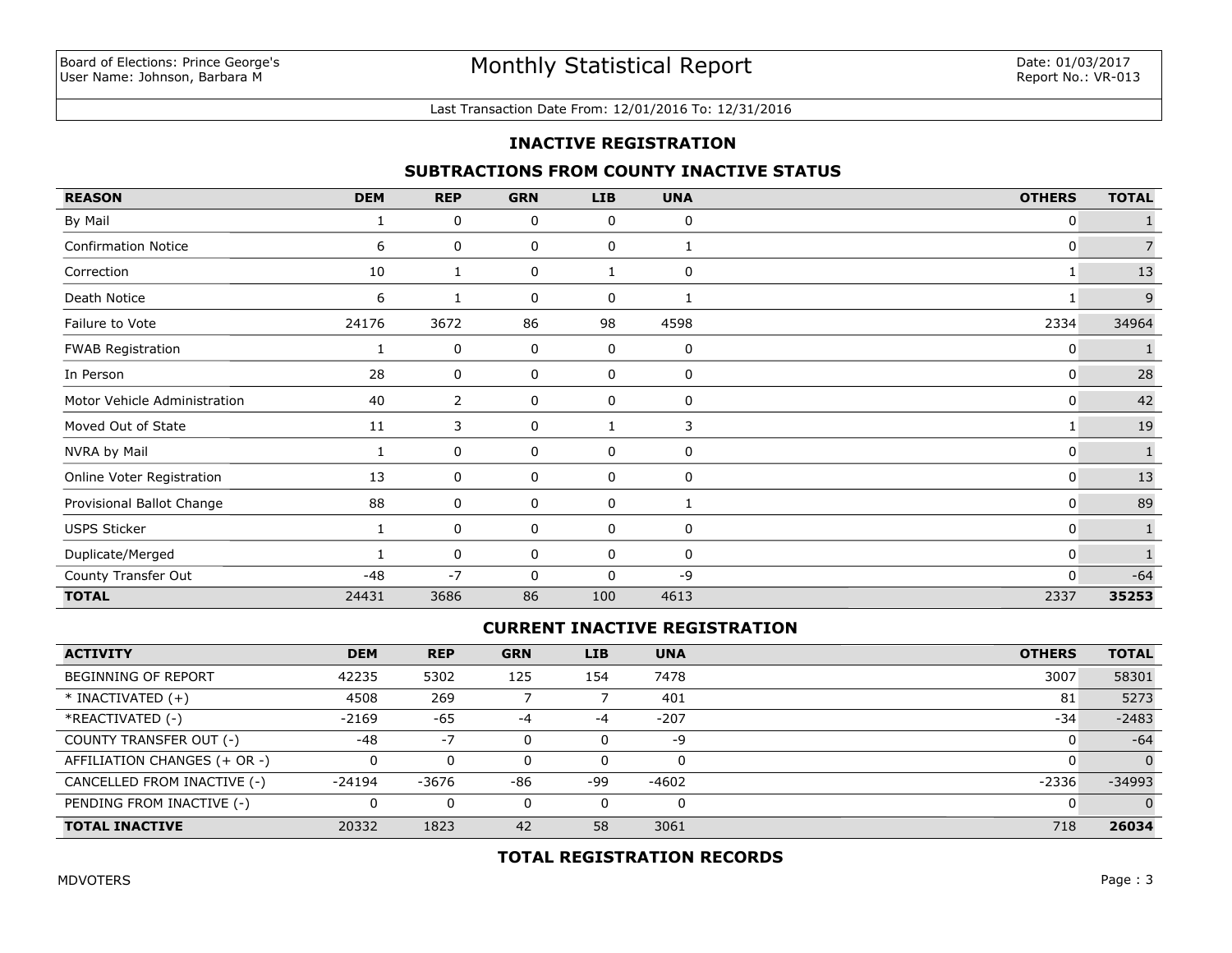#### Last Transaction Date From: 12/01/2016 To: 12/31/2016

### **INACTIVE REGISTRATION**

### **SUBTRACTIONS FROM COUNTY INACTIVE STATUS**

| <b>REASON</b>                | <b>DEM</b> | <b>REP</b>     | <b>GRN</b> | <b>LIB</b> | <b>UNA</b>  | <b>OTHERS</b> | <b>TOTAL</b>   |
|------------------------------|------------|----------------|------------|------------|-------------|---------------|----------------|
| By Mail                      |            | 0              | 0          | 0          | $\mathbf 0$ | 0             |                |
| <b>Confirmation Notice</b>   | 6          | 0              | 0          | 0          | 1           | 0             | $\overline{7}$ |
| Correction                   | 10         | 1              | 0          |            | $\mathbf 0$ | 1             | 13             |
| Death Notice                 | 6          | 1              | 0          | 0          | 1           | 1             | 9              |
| Failure to Vote              | 24176      | 3672           | 86         | 98         | 4598        | 2334          | 34964          |
| <b>FWAB Registration</b>     |            | 0              | 0          | 0          | 0           | 0             |                |
| In Person                    | 28         | 0              | 0          | 0          | 0           | 0             | 28             |
| Motor Vehicle Administration | 40         | $\overline{2}$ | 0          | 0          | 0           | 0             | 42             |
| Moved Out of State           | 11         | 3              | 0          | 1          | 3           | 1             | 19             |
| NVRA by Mail                 |            | 0              | 0          | 0          | 0           | 0             | $\mathbf{1}$   |
| Online Voter Registration    | 13         | 0              | 0          | 0          | 0           | 0             | 13             |
| Provisional Ballot Change    | 88         | 0              | 0          | 0          | 1           | 0             | 89             |
| <b>USPS Sticker</b>          |            | 0              | 0          | 0          | $\mathbf 0$ | 0             | $\mathbf{1}$   |
| Duplicate/Merged             |            | 0              | 0          | 0          | $\mathbf 0$ | 0             |                |
| County Transfer Out          | $-48$      | $-7$           | 0          | 0          | -9          | 0             | $-64$          |
| <b>TOTAL</b>                 | 24431      | 3686           | 86         | 100        | 4613        | 2337          | 35253          |

### **CURRENT INACTIVE REGISTRATION**

| <b>ACTIVITY</b>              | <b>DEM</b> | <b>REP</b> | <b>GRN</b> | <b>LIB</b> | <b>UNA</b> | <b>OTHERS</b> | <b>TOTAL</b> |
|------------------------------|------------|------------|------------|------------|------------|---------------|--------------|
| <b>BEGINNING OF REPORT</b>   | 42235      | 5302       | 125        | 154        | 7478       | 3007          | 58301        |
| $*$ INACTIVATED $(+)$        | 4508       | 269        |            |            | 401        | 81            | 5273         |
| *REACTIVATED (-)             | $-2169$    | $-65$      | -4         | $-4$       | $-207$     | $-34$         | $-2483$      |
| COUNTY TRANSFER OUT (-)      | $-48$      | $-7$       |            |            | -9         |               | $-64$        |
| AFFILIATION CHANGES (+ OR -) |            | 0          |            |            | $\Omega$   |               | $\Omega$     |
| CANCELLED FROM INACTIVE (-)  | $-24194$   | -3676      | -86        | -99        | -4602      | $-2336$       | $-34993$     |
| PENDING FROM INACTIVE (-)    |            | 0          |            |            | $\Omega$   |               | $\Omega$     |
| <b>TOTAL INACTIVE</b>        | 20332      | 1823       | 42         | 58         | 3061       | 718           | 26034        |

## **TOTAL REGISTRATION RECORDS**